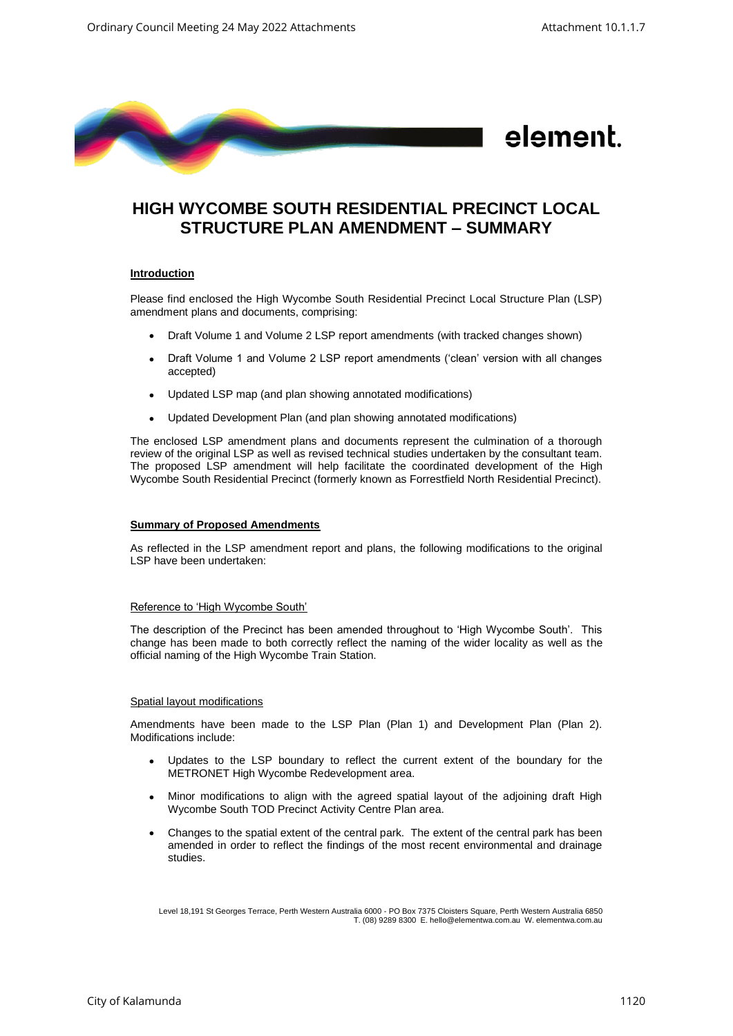

# **HIGH WYCOMBE SOUTH RESIDENTIAL PRECINCT LOCAL STRUCTURE PLAN AMENDMENT – SUMMARY**

## **Introduction**

Please find enclosed the High Wycombe South Residential Precinct Local Structure Plan (LSP) amendment plans and documents, comprising:

- Draft Volume 1 and Volume 2 LSP report amendments (with tracked changes shown)
- Draft Volume 1 and Volume 2 LSP report amendments ('clean' version with all changes accepted)
- Updated LSP map (and plan showing annotated modifications)
- Updated Development Plan (and plan showing annotated modifications)

The enclosed LSP amendment plans and documents represent the culmination of a thorough review of the original LSP as well as revised technical studies undertaken by the consultant team. The proposed LSP amendment will help facilitate the coordinated development of the High Wycombe South Residential Precinct (formerly known as Forrestfield North Residential Precinct).

## **Summary of Proposed Amendments**

As reflected in the LSP amendment report and plans, the following modifications to the original LSP have been undertaken:

## Reference to 'High Wycombe South'

The description of the Precinct has been amended throughout to 'High Wycombe South'. This change has been made to both correctly reflect the naming of the wider locality as well as the official naming of the High Wycombe Train Station.

## Spatial layout modifications

Amendments have been made to the LSP Plan (Plan 1) and Development Plan (Plan 2). Modifications include:

- Updates to the LSP boundary to reflect the current extent of the boundary for the METRONET High Wycombe Redevelopment area.
- Minor modifications to align with the agreed spatial layout of the adjoining draft High Wycombe South TOD Precinct Activity Centre Plan area.
- Changes to the spatial extent of the central park. The extent of the central park has been amended in order to reflect the findings of the most recent environmental and drainage studies.

Level 18,191 St Georges Terrace, Perth Western Australia 6000 - PO Box 7375 Cloisters Square, Perth Western Australia 6850 T. (08) 9289 8300 E. hello@elementwa.com.au W. elementwa.com.au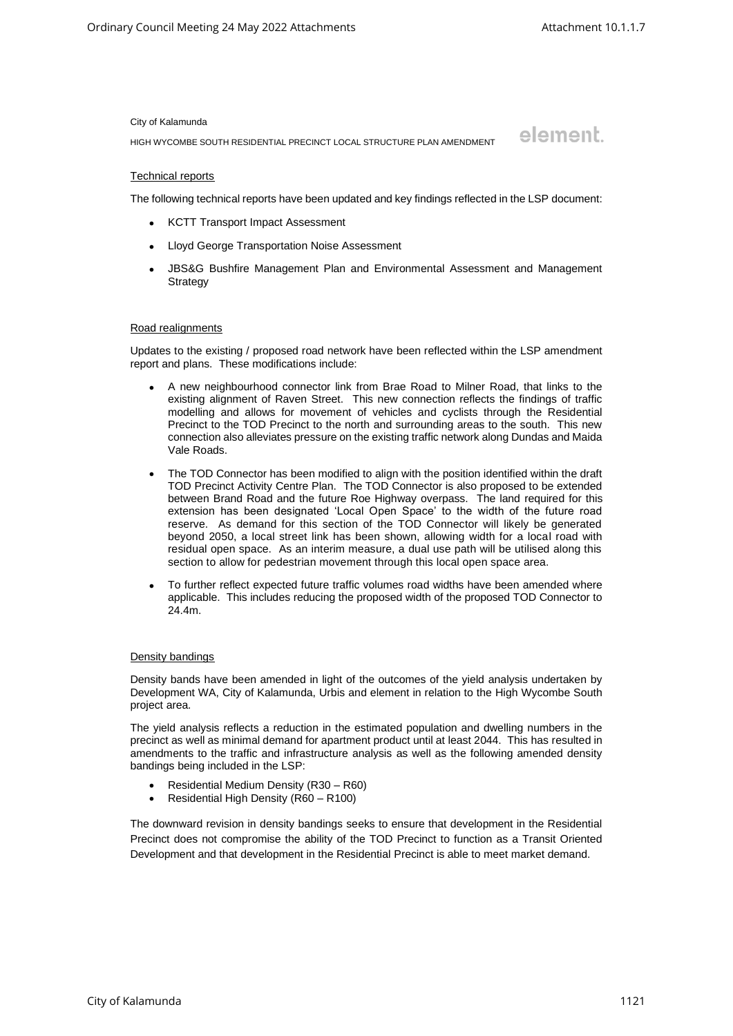element.

#### City of Kalamunda

HIGH WYCOMBE SOUTH RESIDENTIAL PRECINCT LOCAL STRUCTURE PLAN AMENDMENT

## Technical reports

The following technical reports have been updated and key findings reflected in the LSP document:

- KCTT Transport Impact Assessment
- Lloyd George Transportation Noise Assessment
- JBS&G Bushfire Management Plan and Environmental Assessment and Management **Strategy**

#### Road realignments

Updates to the existing / proposed road network have been reflected within the LSP amendment report and plans. These modifications include:

- A new neighbourhood connector link from Brae Road to Milner Road, that links to the existing alignment of Raven Street. This new connection reflects the findings of traffic modelling and allows for movement of vehicles and cyclists through the Residential Precinct to the TOD Precinct to the north and surrounding areas to the south. This new connection also alleviates pressure on the existing traffic network along Dundas and Maida Vale Roads.
- The TOD Connector has been modified to align with the position identified within the draft TOD Precinct Activity Centre Plan. The TOD Connector is also proposed to be extended between Brand Road and the future Roe Highway overpass. The land required for this extension has been designated 'Local Open Space' to the width of the future road reserve. As demand for this section of the TOD Connector will likely be generated beyond 2050, a local street link has been shown, allowing width for a local road with residual open space. As an interim measure, a dual use path will be utilised along this section to allow for pedestrian movement through this local open space area.
- To further reflect expected future traffic volumes road widths have been amended where applicable. This includes reducing the proposed width of the proposed TOD Connector to 24.4m.

## Density bandings

Density bands have been amended in light of the outcomes of the yield analysis undertaken by Development WA, City of Kalamunda, Urbis and element in relation to the High Wycombe South project area.

The yield analysis reflects a reduction in the estimated population and dwelling numbers in the precinct as well as minimal demand for apartment product until at least 2044. This has resulted in amendments to the traffic and infrastructure analysis as well as the following amended density bandings being included in the LSP:

- Residential Medium Density (R30 R60)
- Residential High Density (R60 R100)

The downward revision in density bandings seeks to ensure that development in the Residential Precinct does not compromise the ability of the TOD Precinct to function as a Transit Oriented Development and that development in the Residential Precinct is able to meet market demand.